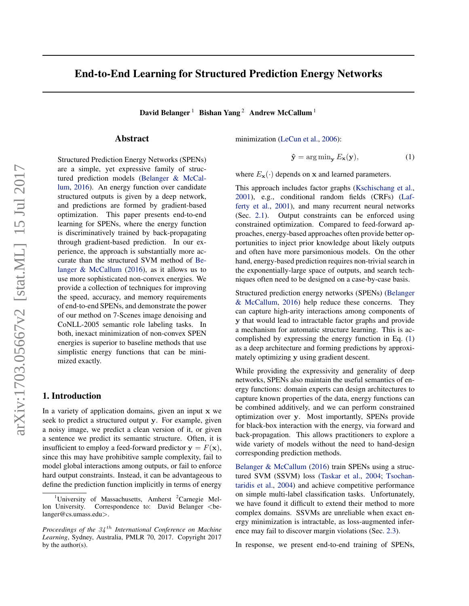# <span id="page-0-0"></span>End-to-End Learning for Structured Prediction Energy Networks

David Belanger<sup>1</sup> Bishan Yang<sup>2</sup> Andrew McCallum<sup>1</sup>

# Abstract

Structured Prediction Energy Networks (SPENs) are a simple, yet expressive family of structured prediction models [\(Belanger & McCal](#page-8-0)[lum,](#page-8-0) [2016\)](#page-8-0). An energy function over candidate structured outputs is given by a deep network, and predictions are formed by gradient-based optimization. This paper presents end-to-end learning for SPENs, where the energy function is discriminatively trained by back-propagating through gradient-based prediction. In our experience, the approach is substantially more accurate than the structured SVM method of [Be](#page-8-0)[langer & McCallum](#page-8-0) [\(2016\)](#page-8-0), as it allows us to use more sophisticated non-convex energies. We provide a collection of techniques for improving the speed, accuracy, and memory requirements of end-to-end SPENs, and demonstrate the power of our method on 7-Scenes image denoising and CoNLL-2005 semantic role labeling tasks. In both, inexact minimization of non-convex SPEN energies is superior to baseline methods that use simplistic energy functions that can be minimized exactly.

### 1. Introduction

In a variety of application domains, given an input x we seek to predict a structured output y. For example, given a noisy image, we predict a clean version of it, or given a sentence we predict its semantic structure. Often, it is insufficient to employ a feed-forward predictor  $y = F(x)$ , since this may have prohibitive sample complexity, fail to model global interactions among outputs, or fail to enforce hard output constraints. Instead, it can be advantageous to define the prediction function implicitly in terms of energy minimization [\(LeCun et al.,](#page-9-0) [2006\)](#page-9-0):

$$
\hat{\mathbf{y}} = \arg\min_{\mathbf{y}} E_{\mathbf{x}}(\mathbf{y}),\tag{1}
$$

where  $E_{\mathbf{x}}(\cdot)$  depends on x and learned parameters.

This approach includes factor graphs [\(Kschischang et al.,](#page-9-0) [2001\)](#page-9-0), e.g., conditional random fields (CRFs) [\(Laf](#page-9-0)[ferty et al.,](#page-9-0) [2001\)](#page-9-0), and many recurrent neural networks (Sec. [2.1\)](#page-1-0). Output constraints can be enforced using constrained optimization. Compared to feed-forward approaches, energy-based approaches often provide better opportunities to inject prior knowledge about likely outputs and often have more parsimonious models. On the other hand, energy-based prediction requires non-trivial search in the exponentially-large space of outputs, and search techniques often need to be designed on a case-by-case basis.

Structured prediction energy networks (SPENs) [\(Belanger](#page-8-0) [& McCallum,](#page-8-0) [2016\)](#page-8-0) help reduce these concerns. They can capture high-arity interactions among components of y that would lead to intractable factor graphs and provide a mechanism for automatic structure learning. This is accomplished by expressing the energy function in Eq. (1) as a deep architecture and forming predictions by approximately optimizing y using gradient descent.

While providing the expressivity and generality of deep networks, SPENs also maintain the useful semantics of energy functions: domain experts can design architectures to capture known properties of the data, energy functions can be combined additively, and we can perform constrained optimization over y. Most importantly, SPENs provide for black-box interaction with the energy, via forward and back-propagation. This allows practitioners to explore a wide variety of models without the need to hand-design corresponding prediction methods.

[Belanger & McCallum](#page-8-0) [\(2016\)](#page-8-0) train SPENs using a structured SVM (SSVM) loss [\(Taskar et al.,](#page-10-0) [2004;](#page-10-0) [Tsochan](#page-10-0)[taridis et al.,](#page-10-0) [2004\)](#page-10-0) and achieve competitive performance on simple multi-label classification tasks. Unfortunately, we have found it difficult to extend their method to more complex domains. SSVMs are unreliable when exact energy minimization is intractable, as loss-augmented inference may fail to discover margin violations (Sec. [2.3\)](#page-2-0).

In response, we present end-to-end training of SPENs,

<sup>&</sup>lt;sup>1</sup>University of Massachusetts, Amherst <sup>2</sup>Carnegie Mellon University. Correspondence to: David Belanger <br/>belanger@cs.umass.edu>.

*Proceedings of the* 34 th *International Conference on Machine Learning*, Sydney, Australia, PMLR 70, 2017. Copyright 2017 by the author(s).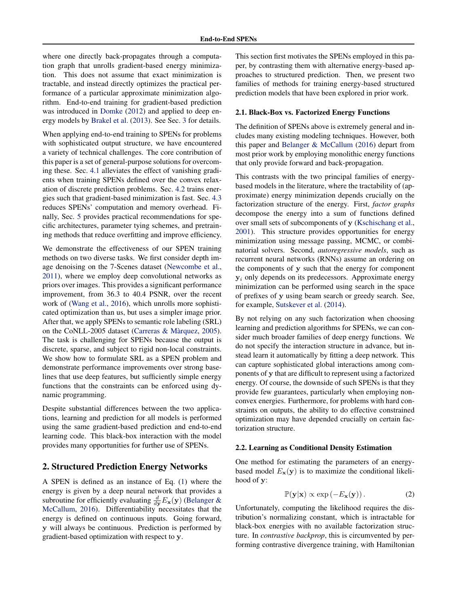<span id="page-1-0"></span>where one directly back-propagates through a computation graph that unrolls gradient-based energy minimization. This does not assume that exact minimization is tractable, and instead directly optimizes the practical performance of a particular approximate minimization algorithm. End-to-end training for gradient-based prediction was introduced in [Domke](#page-8-0) [\(2012\)](#page-8-0) and applied to deep energy models by [Brakel et al.](#page-8-0) [\(2013\)](#page-8-0). See Sec. [3](#page-2-0) for details.

When applying end-to-end training to SPENs for problems with sophisticated output structure, we have encountered a variety of technical challenges. The core contribution of this paper is a set of general-purpose solutions for overcoming these. Sec. [4.1](#page-3-0) alleviates the effect of vanishing gradients when training SPENs defined over the convex relaxation of discrete prediction problems. Sec. [4.2](#page-3-0) trains energies such that gradient-based minimization is fast. Sec. [4.3](#page-4-0) reduces SPENs' computation and memory overhead. Finally, Sec. [5](#page-4-0) provides practical recommendations for specific architectures, parameter tying schemes, and pretraining methods that reduce overfitting and improve efficiency.

We demonstrate the effectiveness of our SPEN training methods on two diverse tasks. We first consider depth image denoising on the 7-Scenes dataset [\(Newcombe et al.,](#page-9-0) [2011\)](#page-9-0), where we employ deep convolutional networks as priors over images. This provides a significant performance improvement, from 36.3 to 40.4 PSNR, over the recent work of [\(Wang et al.,](#page-10-0) [2016\)](#page-10-0), which unrolls more sophisticated optimization than us, but uses a simpler image prior. After that, we apply SPENs to semantic role labeling (SRL) on the CoNLL-2005 dataset (Carreras  $\&$  Màrquez, [2005\)](#page-8-0). The task is challenging for SPENs because the output is discrete, sparse, and subject to rigid non-local constraints. We show how to formulate SRL as a SPEN problem and demonstrate performance improvements over strong baselines that use deep features, but sufficiently simple energy functions that the constraints can be enforced using dynamic programming.

Despite substantial differences between the two applications, learning and prediction for all models is performed using the same gradient-based prediction and end-to-end learning code. This black-box interaction with the model provides many opportunities for further use of SPENs.

## 2. Structured Prediction Energy Networks

A SPEN is defined as an instance of Eq. [\(1\)](#page-0-0) where the energy is given by a deep neural network that provides a subroutine for efficiently evaluating  $\frac{d}{dy}E_{\mathbf{x}}(\mathbf{y})$  [\(Belanger &](#page-8-0) [McCallum,](#page-8-0) [2016\)](#page-8-0). Differentiability necessitates that the energy is defined on continuous inputs. Going forward, y will always be continuous. Prediction is performed by gradient-based optimization with respect to y.

This section first motivates the SPENs employed in this paper, by contrasting them with alternative energy-based approaches to structured prediction. Then, we present two families of methods for training energy-based structured prediction models that have been explored in prior work.

#### 2.1. Black-Box vs. Factorized Energy Functions

The definition of SPENs above is extremely general and includes many existing modeling techniques. However, both this paper and [Belanger & McCallum](#page-8-0) [\(2016\)](#page-8-0) depart from most prior work by employing monolithic energy functions that only provide forward and back-propagation.

This contrasts with the two principal families of energybased models in the literature, where the tractability of (approximate) energy minimization depends crucially on the factorization structure of the energy. First, *factor graphs* decompose the energy into a sum of functions defined over small sets of subcomponents of y [\(Kschischang et al.,](#page-9-0) [2001\)](#page-9-0). This structure provides opportunities for energy minimization using message passing, MCMC, or combinatorial solvers. Second, *autoregressive models*, such as recurrent neural networks (RNNs) assume an ordering on the components of y such that the energy for component  $y_i$  only depends on its predecessors. Approximate energy minimization can be performed using search in the space of prefixes of y using beam search or greedy search. See, for example, [Sutskever et al.](#page-9-0) [\(2014\)](#page-9-0).

By not relying on any such factorization when choosing learning and prediction algorithms for SPENs, we can consider much broader families of deep energy functions. We do not specify the interaction structure in advance, but instead learn it automatically by fitting a deep network. This can capture sophisticated global interactions among components of y that are difficult to represent using a factorized energy. Of course, the downside of such SPENs is that they provide few guarantees, particularly when employing nonconvex energies. Furthermore, for problems with hard constraints on outputs, the ability to do effective constrained optimization may have depended crucially on certain factorization structure.

#### 2.2. Learning as Conditional Density Estimation

One method for estimating the parameters of an energybased model  $E_{\mathbf{x}}(\mathbf{y})$  is to maximize the conditional likelihood of y:

$$
\mathbb{P}(\mathbf{y}|\mathbf{x}) \propto \exp(-E_{\mathbf{x}}(\mathbf{y})). \tag{2}
$$

Unfortunately, computing the likelihood requires the distribution's normalizing constant, which is intractable for black-box energies with no available factorization structure. In *contrastive backprop*, this is circumvented by performing contrastive divergence training, with Hamiltonian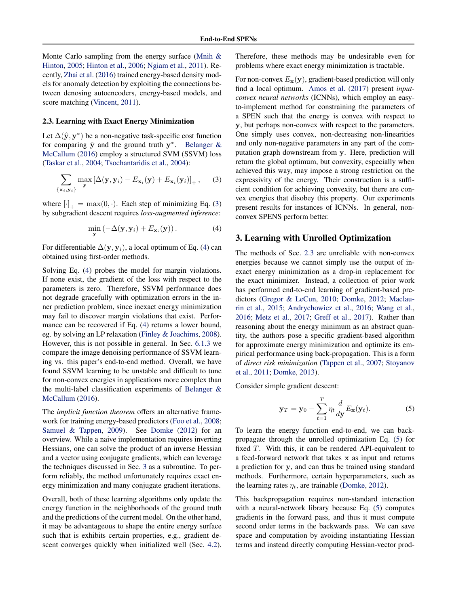<span id="page-2-0"></span>Monte Carlo sampling from the energy surface [\(Mnih &](#page-9-0) [Hinton,](#page-9-0) [2005;](#page-9-0) [Hinton et al.,](#page-9-0) [2006;](#page-9-0) [Ngiam et al.,](#page-9-0) [2011\)](#page-9-0). Recently, [Zhai et al.](#page-10-0) [\(2016\)](#page-10-0) trained energy-based density models for anomaly detection by exploiting the connections between denosing autoencoders, energy-based models, and score matching [\(Vincent,](#page-10-0) [2011\)](#page-10-0).

#### 2.3. Learning with Exact Energy Minimization

Let  $\Delta(\hat{\mathbf{y}}, \mathbf{y}^*)$  be a non-negative task-specific cost function for comparing  $\hat{y}$  and the ground truth  $y^*$ . [Belanger &](#page-8-0) [McCallum](#page-8-0) [\(2016\)](#page-8-0) employ a structured SVM (SSVM) loss [\(Taskar et al.,](#page-10-0) [2004;](#page-10-0) [Tsochantaridis et al.,](#page-10-0) [2004\)](#page-10-0):

$$
\sum_{\{\mathbf{x}_i,\mathbf{y}_i\}} \max_{\mathbf{y}} \left[ \Delta(\mathbf{y},\mathbf{y}_i) - E_{\mathbf{x}_i}(\mathbf{y}) + E_{\mathbf{x}_i}(\mathbf{y}_i) \right]_+, \quad (3)
$$

where  $[\cdot]_+ = \max(0, \cdot)$ . Each step of minimizing Eq. (3) by subgradient descent requires *loss-augmented inference*:

$$
\min_{\mathbf{y}} \left( -\Delta(\mathbf{y}, \mathbf{y}_i) + E_{\mathbf{x}_i}(\mathbf{y}) \right). \tag{4}
$$

For differentiable  $\Delta(\mathbf{y}, \mathbf{y}_i)$ , a local optimum of Eq. (4) can obtained using first-order methods.

Solving Eq. (4) probes the model for margin violations. If none exist, the gradient of the loss with respect to the parameters is zero. Therefore, SSVM performance does not degrade gracefully with optimization errors in the inner prediction problem, since inexact energy minimization may fail to discover margin violations that exist. Performance can be recovered if Eq. (4) returns a lower bound, eg. by solving an LP relaxation [\(Finley & Joachims,](#page-8-0) [2008\)](#page-8-0). However, this is not possible in general. In Sec. [6.1.3](#page-5-0) we compare the image denoising performance of SSVM learning vs. this paper's end-to-end method. Overall, we have found SSVM learning to be unstable and difficult to tune for non-convex energies in applications more complex than the multi-label classification experiments of [Belanger &](#page-8-0) [McCallum](#page-8-0) [\(2016\)](#page-8-0).

The *implicit function theorem* offers an alternative framework for training energy-based predictors [\(Foo et al.,](#page-8-0) [2008;](#page-8-0) [Samuel & Tappen,](#page-9-0) [2009\)](#page-9-0). See [Domke](#page-8-0) [\(2012\)](#page-8-0) for an overview. While a naive implementation requires inverting Hessians, one can solve the product of an inverse Hessian and a vector using conjugate gradients, which can leverage the techniques discussed in Sec. 3 as a subroutine. To perform reliably, the method unfortunately requires exact energy minimization and many conjugate gradient iterations.

Overall, both of these learning algorithms only update the energy function in the neighborhoods of the ground truth and the predictions of the current model. On the other hand, it may be advantageous to shape the entire energy surface such that is exhibits certain properties, e.g., gradient descent converges quickly when initialized well (Sec. [4.2\)](#page-3-0).

Therefore, these methods may be undesirable even for problems where exact energy minimization is tractable.

For non-convex  $E_{\mathbf{x}}(\mathbf{y})$ , gradient-based prediction will only find a local optimum. [Amos et al.](#page-8-0) [\(2017\)](#page-8-0) present *inputconvex neural networks* (ICNNs), which employ an easyto-implement method for constraining the parameters of a SPEN such that the energy is convex with respect to y, but perhaps non-convex with respect to the parameters. One simply uses convex, non-decreasing non-linearities and only non-negative parameters in any part of the computation graph downstream from y. Here, prediction will return the global optimum, but convexity, especially when achieved this way, may impose a strong restriction on the expressivity of the energy. Their construction is a sufficient condition for achieving convexity, but there are convex energies that disobey this property. Our experiments present results for instances of ICNNs. In general, nonconvex SPENS perform better.

# 3. Learning with Unrolled Optimization

The methods of Sec. 2.3 are unreliable with non-convex energies because we cannot simply use the output of inexact energy minimization as a drop-in replacement for the exact minimizer. Instead, a collection of prior work has performed end-to-end learning of gradient-based predictors [\(Gregor & LeCun,](#page-8-0) [2010;](#page-8-0) [Domke,](#page-8-0) [2012;](#page-8-0) [Maclau](#page-9-0)[rin et al.,](#page-9-0) [2015;](#page-9-0) [Andrychowicz et al.,](#page-8-0) [2016;](#page-8-0) [Wang et al.,](#page-10-0) [2016;](#page-10-0) [Metz et al.,](#page-9-0) [2017;](#page-9-0) [Greff et al.,](#page-8-0) [2017\)](#page-8-0). Rather than reasoning about the energy minimum as an abstract quantity, the authors pose a specific gradient-based algorithm for approximate energy minimization and optimize its empirical performance using back-propagation. This is a form of *direct risk minimization* [\(Tappen et al.,](#page-10-0) [2007;](#page-10-0) [Stoyanov](#page-9-0) [et al.,](#page-9-0) [2011;](#page-9-0) [Domke,](#page-8-0) [2013\)](#page-8-0).

Consider simple gradient descent:

$$
\mathbf{y}_T = \mathbf{y}_0 - \sum_{t=1}^T \eta_t \frac{d}{d\mathbf{y}} E_{\mathbf{x}}(\mathbf{y}_t).
$$
 (5)

To learn the energy function end-to-end, we can backpropagate through the unrolled optimization Eq. (5) for fixed  $T$ . With this, it can be rendered API-equivalent to a feed-forward network that takes x as input and returns a prediction for y, and can thus be trained using standard methods. Furthermore, certain hyperparameters, such as the learning rates  $\eta_t$ , are trainable [\(Domke,](#page-8-0) [2012\)](#page-8-0).

This backpropagation requires non-standard interaction with a neural-network library because Eq. (5) computes gradients in the forward pass, and thus it must compute second order terms in the backwards pass. We can save space and computation by avoiding instantiating Hessian terms and instead directly computing Hessian-vector prod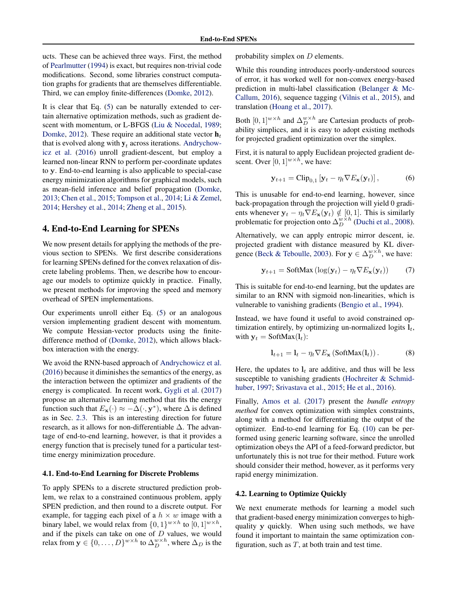<span id="page-3-0"></span>ucts. These can be achieved three ways. First, the method of [Pearlmutter](#page-9-0) [\(1994\)](#page-9-0) is exact, but requires non-trivial code modifications. Second, some libraries construct computation graphs for gradients that are themselves differentiable. Third, we can employ finite-differences [\(Domke,](#page-8-0) [2012\)](#page-8-0).

It is clear that Eq. [\(5\)](#page-2-0) can be naturally extended to certain alternative optimization methods, such as gradient de-scent with momentum, or L-BFGS [\(Liu & Nocedal,](#page-9-0) [1989;](#page-9-0) [Domke,](#page-8-0) [2012\)](#page-8-0). These require an additional state vector  $\mathbf{h}_t$ that is evolved along with  $y_t$  across iterations. [Andrychow](#page-8-0)[icz et al.](#page-8-0) [\(2016\)](#page-8-0) unroll gradient-descent, but employ a learned non-linear RNN to perform per-coordinate updates to y. End-to-end learning is also applicable to special-case energy minimization algorithms for graphical models, such as mean-field inference and belief propagation [\(Domke,](#page-8-0) [2013;](#page-8-0) [Chen et al.,](#page-8-0) [2015;](#page-8-0) [Tompson et al.,](#page-10-0) [2014;](#page-10-0) [Li & Zemel,](#page-9-0) [2014;](#page-9-0) [Hershey et al.,](#page-9-0) [2014;](#page-9-0) [Zheng et al.,](#page-10-0) [2015\)](#page-10-0).

### 4. End-to-End Learning for SPENs

We now present details for applying the methods of the previous section to SPENs. We first describe considerations for learning SPENs defined for the convex relaxation of discrete labeling problems. Then, we describe how to encourage our models to optimize quickly in practice. Finally, we present methods for improving the speed and memory overhead of SPEN implementations.

Our experiments unroll either Eq. [\(5\)](#page-2-0) or an analogous version implementing gradient descent with momentum. We compute Hessian-vector products using the finitedifference method of [\(Domke,](#page-8-0) [2012\)](#page-8-0), which allows blackbox interaction with the energy.

We avoid the RNN-based approach of [Andrychowicz et al.](#page-8-0) [\(2016\)](#page-8-0) because it diminishes the semantics of the energy, as the interaction between the optimizer and gradients of the energy is complicated. In recent work, [Gygli et al.](#page-8-0) [\(2017\)](#page-8-0) propose an alternative learning method that fits the energy function such that  $E_{\mathbf{x}}(\cdot) \approx -\Delta(\cdot, \mathbf{y}^*)$ , where  $\Delta$  is defined as in Sec. [2.3.](#page-2-0) This is an interesting direction for future research, as it allows for non-differentiable  $\Delta$ . The advantage of end-to-end learning, however, is that it provides a energy function that is precisely tuned for a particular testtime energy minimization procedure.

#### 4.1. End-to-End Learning for Discrete Problems

To apply SPENs to a discrete structured prediction problem, we relax to a constrained continuous problem, apply SPEN prediction, and then round to a discrete output. For example, for tagging each pixel of a  $h \times w$  image with a binary label, we would relax from  $\{0,1\}^{w \times h}$  to  $[0,1]^{w \times h}$ , and if the pixels can take on one of  $D$  values, we would relax from  $\mathbf{y} \in \{0, ..., D\}^{w \times h}$  to  $\Delta_D^{w \times h}$ , where  $\Delta_D$  is the

probability simplex on  $D$  elements.

While this rounding introduces poorly-understood sources of error, it has worked well for non-convex energy-based prediction in multi-label classification [\(Belanger & Mc-](#page-8-0)[Callum,](#page-8-0) [2016\)](#page-8-0), sequence tagging [\(Vilnis et al.,](#page-10-0) [2015\)](#page-10-0), and translation [\(Hoang et al.,](#page-9-0) [2017\)](#page-9-0).

Both  $[0,1]^{w \times h}$  and  $\Delta_D^{w \times h}$  are Cartesian products of probability simplices, and it is easy to adopt existing methods for projected gradient optimization over the simplex.

First, it is natural to apply Euclidean projected gradient descent. Over  $[0, 1]^{w \times h}$ , we have:

$$
\mathbf{y}_{t+1} = \text{Clip}_{0,1} \left[ \mathbf{y}_t - \eta_t \nabla E_{\mathbf{x}}(\mathbf{y}_t) \right],\tag{6}
$$

This is unusable for end-to-end learning, however, since back-propagation through the projection will yield 0 gradients whenever  $y_t - \eta_t \nabla E_{\mathbf{x}}(\mathbf{y}_t) \notin [0, 1]$ . This is similarly problematic for projection onto  $\Delta_D^{w \times h}$  [\(Duchi et al.,](#page-8-0) [2008\)](#page-8-0).

Alternatively, we can apply entropic mirror descent, ie. projected gradient with distance measured by KL diver-gence [\(Beck & Teboulle,](#page-8-0) [2003\)](#page-8-0). For  $y \in \Delta_D^{w \times h}$ , we have:

$$
\mathbf{y}_{t+1} = \text{SoftMax}(\log(\mathbf{y}_t) - \eta_t \nabla E_{\mathbf{x}}(\mathbf{y}_t)) \tag{7}
$$

This is suitable for end-to-end learning, but the updates are similar to an RNN with sigmoid non-linearities, which is vulnerable to vanishing gradients [\(Bengio et al.,](#page-8-0) [1994\)](#page-8-0).

Instead, we have found it useful to avoid constrained optimization entirely, by optimizing un-normalized logits  $l_t$ , with  $y_t = \text{SoftMax}(l_t)$ :

$$
\mathbf{l}_{t+1} = \mathbf{l}_t - \eta_t \nabla E_\mathbf{x} \left( \text{SoftMax}(\mathbf{l}_t) \right). \tag{8}
$$

Here, the updates to  $l_t$  are additive, and thus will be less susceptible to vanishing gradients [\(Hochreiter & Schmid](#page-9-0)[huber,](#page-9-0) [1997;](#page-9-0) [Srivastava et al.,](#page-9-0) [2015;](#page-9-0) [He et al.,](#page-8-0) [2016\)](#page-8-0).

Finally, [Amos et al.](#page-8-0) [\(2017\)](#page-8-0) present the *bundle entropy method* for convex optimization with simplex constraints, along with a method for differentiating the output of the optimizer. End-to-end learning for Eq. [\(10\)](#page-4-0) can be performed using generic learning software, since the unrolled optimization obeys the API of a feed-forward predictor, but unfortunately this is not true for their method. Future work should consider their method, however, as it performs very rapid energy minimization.

# 4.2. Learning to Optimize Quickly

We next enumerate methods for learning a model such that gradient-based energy minimization converges to highquality y quickly. When using such methods, we have found it important to maintain the same optimization configuration, such as  $T$ , at both train and test time.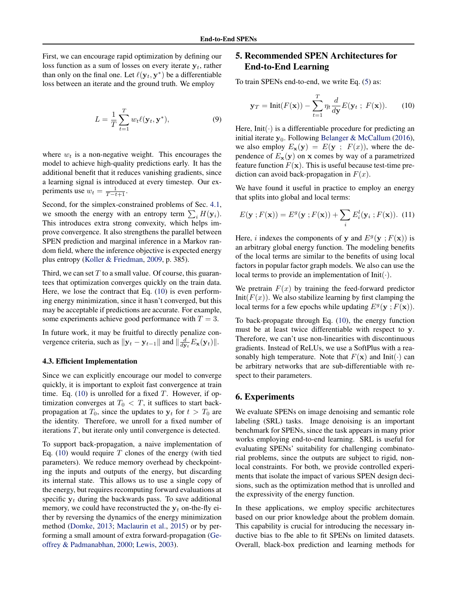<span id="page-4-0"></span>First, we can encourage rapid optimization by defining our loss function as a sum of losses on every iterate  $y_t$ , rather than only on the final one. Let  $\ell(\mathbf{y}_t, \mathbf{y}^*)$  be a differentiable loss between an iterate and the ground truth. We employ

$$
L = \frac{1}{T} \sum_{t=1}^{T} w_t \ell(\mathbf{y}_t, \mathbf{y}^*),
$$
\n(9)

where  $w_t$  is a non-negative weight. This encourages the model to achieve high-quality predictions early. It has the additional benefit that it reduces vanishing gradients, since a learning signal is introduced at every timestep. Our experiments use  $w_t = \frac{1}{T-t+1}$ .

Second, for the simplex-constrained problems of Sec. [4.1,](#page-3-0) we smooth the energy with an entropy term  $\sum_i H(\mathbf{y}_i)$ . This introduces extra strong convexity, which helps improve convergence. It also strengthens the parallel between SPEN prediction and marginal inference in a Markov random field, where the inference objective is expected energy plus entropy [\(Koller & Friedman,](#page-9-0) [2009,](#page-9-0) p. 385).

Third, we can set  $T$  to a small value. Of course, this guarantees that optimization converges quickly on the train data. Here, we lose the contract that Eq. (10) is even performing energy minimization, since it hasn't converged, but this may be acceptable if predictions are accurate. For example, some experiments achieve good performance with  $T = 3$ .

In future work, it may be fruitful to directly penalize convergence criteria, such as  $||\mathbf{y}_t - \mathbf{y}_{t-1}||$  and  $||\frac{d}{d\mathbf{y}_t}E_\mathbf{x}(\mathbf{y}_t)||$ .

#### 4.3. Efficient Implementation

Since we can explicitly encourage our model to converge quickly, it is important to exploit fast convergence at train time. Eq. (10) is unrolled for a fixed  $T$ . However, if optimization converges at  $T_0 < T$ , it suffices to start backpropagation at  $T_0$ , since the updates to  $y_t$  for  $t > T_0$  are the identity. Therefore, we unroll for a fixed number of iterations T, but iterate only until convergence is detected.

To support back-propagation, a naive implementation of Eq. (10) would require  $T$  clones of the energy (with tied parameters). We reduce memory overhead by checkpointing the inputs and outputs of the energy, but discarding its internal state. This allows us to use a single copy of the energy, but requires recomputing forward evaluations at specific  $y_t$  during the backwards pass. To save additional memory, we could have reconstructed the  $y_t$  on-the-fly either by reversing the dynamics of the energy minimization method [\(Domke,](#page-8-0) [2013;](#page-8-0) [Maclaurin et al.,](#page-9-0) [2015\)](#page-9-0) or by performing a small amount of extra forward-propagation [\(Ge](#page-8-0)[offrey & Padmanabhan,](#page-8-0) [2000;](#page-8-0) [Lewis,](#page-9-0) [2003\)](#page-9-0).

# 5. Recommended SPEN Architectures for End-to-End Learning

To train SPENs end-to-end, we write Eq. [\(5\)](#page-2-0) as:

$$
\mathbf{y}_T = \text{Init}(F(\mathbf{x})) - \sum_{t=1}^T \eta_t \frac{d}{d\mathbf{y}} E(\mathbf{y}_t \; ; \; F(\mathbf{x})). \tag{10}
$$

Here, Init( $\cdot$ ) is a differentiable procedure for predicting an initial iterate  $y_0$ . Following [Belanger & McCallum](#page-8-0) [\(2016\)](#page-8-0), we also employ  $E_{\mathbf{x}}(\mathbf{y}) = E(\mathbf{y} ; F(x))$ , where the dependence of  $E_{\mathbf{x}}(\mathbf{y})$  on x comes by way of a parametrized feature function  $F(\mathbf{x})$ . This is useful because test-time prediction can avoid back-propagation in  $F(x)$ .

We have found it useful in practice to employ an energy that splits into global and local terms:

$$
E(\mathbf{y}; F(\mathbf{x})) = E^{g}(\mathbf{y}; F(\mathbf{x})) + \sum_{i} E^{l}_{i}(\mathbf{y}_{i}; F(\mathbf{x})).
$$
 (11)

Here, *i* indexes the components of y and  $E^g(y; F(x))$  is an arbitrary global energy function. The modeling benefits of the local terms are similar to the benefits of using local factors in popular factor graph models. We also can use the local terms to provide an implementation of  $Init(\cdot)$ .

We pretrain  $F(x)$  by training the feed-forward predictor Init( $F(x)$ ). We also stabilize learning by first clamping the local terms for a few epochs while updating  $E^g(y;F(x))$ .

To back-propagate through Eq. (10), the energy function must be at least twice differentiable with respect to y. Therefore, we can't use non-linearities with discontinuous gradients. Instead of ReLUs, we use a SoftPlus with a reasonably high temperature. Note that  $F(\mathbf{x})$  and Init( $\cdot$ ) can be arbitrary networks that are sub-differentiable with respect to their parameters.

### 6. Experiments

We evaluate SPENs on image denoising and semantic role labeling (SRL) tasks. Image denoising is an important benchmark for SPENs, since the task appears in many prior works employing end-to-end learning. SRL is useful for evaluating SPENs' suitability for challenging combinatorial problems, since the outputs are subject to rigid, nonlocal constraints. For both, we provide controlled experiments that isolate the impact of various SPEN design decisions, such as the optimization method that is unrolled and the expressivity of the energy function.

In these applications, we employ specific architectures based on our prior knowledge about the problem domain. This capability is crucial for introducing the necessary inductive bias to fbe able to fit SPENs on limited datasets. Overall, black-box prediction and learning methods for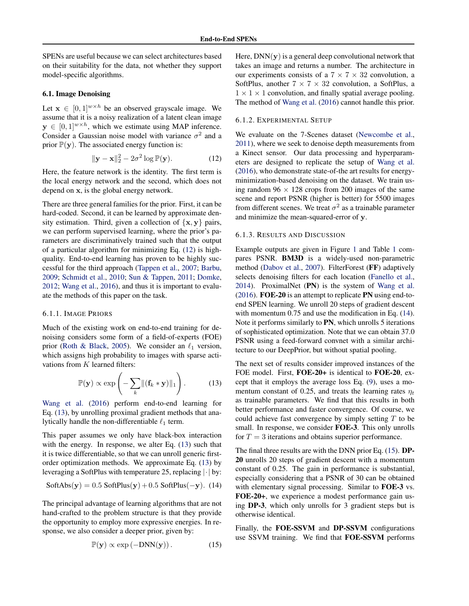<span id="page-5-0"></span>SPENs are useful because we can select architectures based on their suitability for the data, not whether they support model-specific algorithms.

#### 6.1. Image Denoising

Let  $\mathbf{x} \in [0, 1]^{w \times h}$  be an observed grayscale image. We assume that it is a noisy realization of a latent clean image  $y \in [0,1]^{w \times h}$ , which we estimate using MAP inference. Consider a Gaussian noise model with variance  $\sigma^2$  and a prior  $\mathbb{P}(\mathbf{y})$ . The associated energy function is:

$$
\|\mathbf{y} - \mathbf{x}\|_2^2 - 2\sigma^2 \log \mathbb{P}(\mathbf{y}).\tag{12}
$$

Here, the feature network is the identity. The first term is the local energy network and the second, which does not depend on x, is the global energy network.

There are three general families for the prior. First, it can be hard-coded. Second, it can be learned by approximate density estimation. Third, given a collection of  $\{x, y\}$  pairs, we can perform supervised learning, where the prior's parameters are discriminatively trained such that the output of a particular algorithm for minimizing Eq. (12) is highquality. End-to-end learning has proven to be highly successful for the third approach [\(Tappen et al.,](#page-10-0) [2007;](#page-10-0) [Barbu,](#page-8-0) [2009;](#page-8-0) [Schmidt et al.,](#page-9-0) [2010;](#page-9-0) [Sun & Tappen,](#page-9-0) [2011;](#page-9-0) [Domke,](#page-8-0) [2012;](#page-8-0) [Wang et al.,](#page-10-0) [2016\)](#page-10-0), and thus it is important to evaluate the methods of this paper on the task.

#### 6.1.1. IMAGE PRIORS

Much of the existing work on end-to-end training for denoising considers some form of a field-of-experts (FOE) prior [\(Roth & Black,](#page-9-0) [2005\)](#page-9-0). We consider an  $\ell_1$  version, which assigns high probability to images with sparse activations from  $K$  learned filters:

$$
\mathbb{P}(\mathbf{y}) \propto \exp\left(-\sum_{k} ||(\mathbf{f}_k * \mathbf{y})||_1\right). \tag{13}
$$

[Wang et al.](#page-10-0) [\(2016\)](#page-10-0) perform end-to-end learning for Eq. (13), by unrolling proximal gradient methods that analytically handle the non-differentiable  $\ell_1$  term.

This paper assumes we only have black-box interaction with the energy. In response, we alter Eq. (13) such that it is twice differentiable, so that we can unroll generic firstorder optimization methods. We approximate Eq. (13) by leveraging a SoftPlus with temperature 25, replacing |·| by:

SoftAbs(
$$
y
$$
) = 0.5 SoftPlus( $y$ ) + 0.5 SoftPlus(- $y$ ). (14)

The principal advantage of learning algorithms that are not hand-crafted to the problem structure is that they provide the opportunity to employ more expressive energies. In response, we also consider a deeper prior, given by:

$$
\mathbb{P}(\mathbf{y}) \propto \exp(-DNN(\mathbf{y})). \tag{15}
$$

Here,  $DNN(y)$  is a general deep convolutional network that takes an image and returns a number. The architecture in our experiments consists of a  $7 \times 7 \times 32$  convolution, a SoftPlus, another  $7 \times 7 \times 32$  convolution, a SoftPlus, a  $1 \times 1 \times 1$  convolution, and finally spatial average pooling. The method of [Wang et al.](#page-10-0) [\(2016\)](#page-10-0) cannot handle this prior.

#### 6.1.2. EXPERIMENTAL SETUP

We evaluate on the 7-Scenes dataset [\(Newcombe et al.,](#page-9-0) [2011\)](#page-9-0), where we seek to denoise depth measurements from a Kinect sensor. Our data processing and hyperparameters are designed to replicate the setup of [Wang et al.](#page-10-0) [\(2016\)](#page-10-0), who demonstrate state-of-the art results for energyminimization-based denoising on the dataset. We train using random  $96 \times 128$  crops from 200 images of the same scene and report PSNR (higher is better) for 5500 images from different scenes. We treat  $\sigma^2$  as a trainable parameter and minimize the mean-squared-error of y.

#### 6.1.3. RESULTS AND DISCUSSION

Example outputs are given in Figure [1](#page-6-0) and Table [1](#page-6-0) compares PSNR. BM3D is a widely-used non-parametric method [\(Dabov et al.,](#page-8-0) [2007\)](#page-8-0). FilterForest (FF) adaptively selects denoising filters for each location [\(Fanello et al.,](#page-8-0) [2014\)](#page-8-0). ProximalNet (PN) is the system of [Wang et al.](#page-10-0) [\(2016\)](#page-10-0). FOE-20 is an attempt to replicate PN using end-toend SPEN learning. We unroll 20 steps of gradient descent with momentum 0.75 and use the modification in Eq.  $(14)$ . Note it performs similarly to PN, which unrolls 5 iterations of sophisticated optimization. Note that we can obtain 37.0 PSNR using a feed-forward convnet with a similar architecture to our DeepPrior, but without spatial pooling.

The next set of results consider improved instances of the FOE model. First, FOE-20+ is identical to FOE-20, except that it employs the average loss Eq. [\(9\)](#page-4-0), uses a momentum constant of 0.25, and treats the learning rates  $\eta_t$ as trainable parameters. We find that this results in both better performance and faster convergence. Of course, we could achieve fast convergence by simply setting  $T$  to be small. In response, we consider **FOE-3**. This only unrolls for  $T = 3$  iterations and obtains superior performance.

The final three results are with the DNN prior Eq. (15). DP-20 unrolls 20 steps of gradient descent with a momentum constant of 0.25. The gain in performance is substantial, especially considering that a PSNR of 30 can be obtained with elementary signal processing. Similar to FOE-3 vs. FOE-20+, we experience a modest performance gain using DP-3, which only unrolls for 3 gradient steps but is otherwise identical.

Finally, the FOE-SSVM and DP-SSVM configurations use SSVM training. We find that FOE-SSVM performs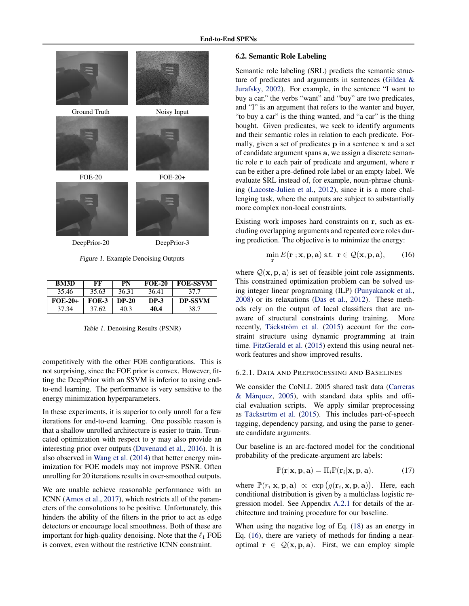<span id="page-6-0"></span>

| <b>BM3D</b> | FF           | PN           | <b>FOE-20</b> | <b>FOE-SSVM</b> |
|-------------|--------------|--------------|---------------|-----------------|
| 35.46       | 35.63        | 36.31        | 36.41         | 37.7            |
| $FOE-20+$   | <b>FOE-3</b> | <b>DP-20</b> | DP-3          | <b>DP-SSVM</b>  |
|             |              |              |               |                 |

Table 1. Denoising Results (PSNR)

competitively with the other FOE configurations. This is not surprising, since the FOE prior is convex. However, fitting the DeepPrior with an SSVM is inferior to using endto-end learning. The performance is very sensitive to the energy minimization hyperparameters.

In these experiments, it is superior to only unroll for a few iterations for end-to-end learning. One possible reason is that a shallow unrolled architecture is easier to train. Truncated optimization with respect to y may also provide an interesting prior over outputs [\(Duvenaud et al.,](#page-8-0) [2016\)](#page-8-0). It is also observed in [Wang et al.](#page-10-0) [\(2014\)](#page-10-0) that better energy minimization for FOE models may not improve PSNR. Often unrolling for 20 iterations results in over-smoothed outputs.

We are unable achieve reasonable performance with an ICNN [\(Amos et al.,](#page-8-0) [2017\)](#page-8-0), which restricts all of the parameters of the convolutions to be positive. Unfortunately, this hinders the ability of the filters in the prior to act as edge detectors or encourage local smoothness. Both of these are important for high-quality denoising. Note that the  $\ell_1$  FOE is convex, even without the restrictive ICNN constraint.

#### 6.2. Semantic Role Labeling

Semantic role labeling (SRL) predicts the semantic structure of predicates and arguments in sentences [\(Gildea &](#page-8-0) [Jurafsky,](#page-8-0) [2002\)](#page-8-0). For example, in the sentence "I want to buy a car," the verbs "want" and "buy" are two predicates, and "I" is an argument that refers to the wanter and buyer, "to buy a car" is the thing wanted, and "a car" is the thing bought. Given predicates, we seek to identify arguments and their semantic roles in relation to each predicate. Formally, given a set of predicates p in a sentence x and a set of candidate argument spans a, we assign a discrete semantic role r to each pair of predicate and argument, where r can be either a pre-defined role label or an empty label. We evaluate SRL instead of, for example, noun-phrase chunking [\(Lacoste-Julien et al.,](#page-9-0) [2012\)](#page-9-0), since it is a more challenging task, where the outputs are subject to substantially more complex non-local constraints.

Existing work imposes hard constraints on r, such as excluding overlapping arguments and repeated core roles during prediction. The objective is to minimize the energy:

$$
\min_{\mathbf{r}} E(\mathbf{r}; \mathbf{x}, \mathbf{p}, \mathbf{a}) \text{ s.t. } \mathbf{r} \in \mathcal{Q}(\mathbf{x}, \mathbf{p}, \mathbf{a}), \qquad (16)
$$

where  $Q(x, p, a)$  is set of feasible joint role assignments. This constrained optimization problem can be solved using integer linear programming (ILP) [\(Punyakanok et al.,](#page-9-0) [2008\)](#page-9-0) or its relaxations [\(Das et al.,](#page-8-0) [2012\)](#page-8-0). These methods rely on the output of local classifiers that are unaware of structural constraints during training. More recently, Täckström et al. [\(2015\)](#page-9-0) account for the constraint structure using dynamic programming at train time. [FitzGerald et al.](#page-8-0) [\(2015\)](#page-8-0) extend this using neural network features and show improved results.

#### 6.2.1. DATA AND PREPROCESSING AND BASELINES

We consider the CoNLL 2005 shared task data [\(Carreras](#page-8-0)  $&$  Màrquez, [2005\)](#page-8-0), with standard data splits and official evaluation scripts. We apply similar preprocessing as Täckström et al.  $(2015)$ . This includes part-of-speech tagging, dependency parsing, and using the parse to generate candidate arguments.

Our baseline is an arc-factored model for the conditional probability of the predicate-argument arc labels:

$$
\mathbb{P}(\mathbf{r}|\mathbf{x}, \mathbf{p}, \mathbf{a}) = \Pi_i \mathbb{P}(\mathbf{r}_i|\mathbf{x}, \mathbf{p}, \mathbf{a}). \tag{17}
$$

where  $\mathbb{P}(r_i|\mathbf{x}, \mathbf{p}, \mathbf{a}) \propto \exp(g(\mathbf{r}_i, \mathbf{x}, \mathbf{p}, \mathbf{a}))$ . Here, each conditional distribution is given by a multiclass logistic regression model. See Appendix [A.2.1](#page-11-0) for details of the architecture and training procedure for our baseline.

When using the negative log of Eq. [\(18\)](#page-11-0) as an energy in Eq. (16), there are variety of methods for finding a nearoptimal  $\mathbf{r} \in \mathcal{Q}(\mathbf{x}, \mathbf{p}, \mathbf{a})$ . First, we can employ simple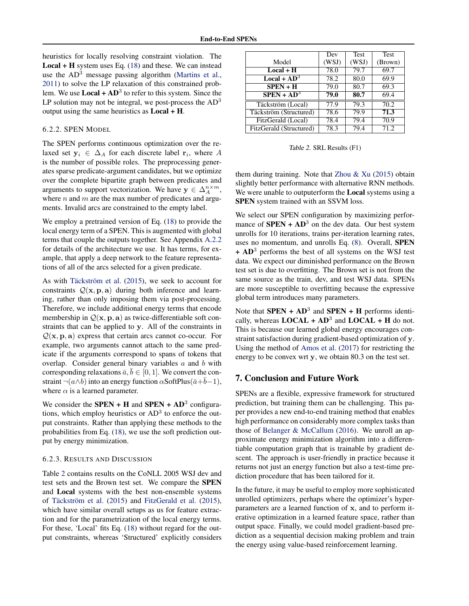heuristics for locally resolving constraint violation. The  $Local + H$  system uses Eq. [\(18\)](#page-11-0) and these. We can instead use the  $AD<sup>3</sup>$  message passing algorithm [\(Martins et al.,](#page-9-0) [2011\)](#page-9-0) to solve the LP relaxation of this constrained problem. We use  $Local + AD^3$  to refer to this system. Since the LP solution may not be integral, we post-process the  $AD<sup>3</sup>$ output using the same heuristics as Local + H.

#### 6.2.2. SPEN MODEL

The SPEN performs continuous optimization over the relaxed set  $y_i \in \Delta_A$  for each discrete label  $r_i$ , where A is the number of possible roles. The preprocessing generates sparse predicate-argument candidates, but we optimize over the complete bipartite graph between predicates and arguments to support vectorization. We have  $y \in \Delta_A^{n \times m}$ , where  $n$  and  $m$  are the max number of predicates and arguments. Invalid arcs are constrained to the empty label.

We employ a pretrained version of Eq. [\(18\)](#page-11-0) to provide the local energy term of a SPEN. This is augmented with global terms that couple the outputs together. See Appendix [A.2.2](#page-11-0) for details of the architecture we use. It has terms, for example, that apply a deep network to the feature representations of all of the arcs selected for a given predicate.

As with Täckström et al. [\(2015\)](#page-9-0), we seek to account for constraints  $Q(x, p, a)$  during both inference and learning, rather than only imposing them via post-processing. Therefore, we include additional energy terms that encode membership in  $Q(x, p, a)$  as twice-differentiable soft constraints that can be applied to y. All of the constraints in  $Q(x, p, a)$  express that certain arcs cannot co-occur. For example, two arguments cannot attach to the same predicate if the arguments correspond to spans of tokens that overlap. Consider general binary variables  $a$  and  $b$  with corresponding relaxations  $\bar{a}, \bar{b} \in [0, 1]$ . We convert the constraint  $\neg(a \land b)$  into an energy function  $\alpha$ SoftPlus( $\bar{a}+\bar{b}-1$ ), where  $\alpha$  is a learned parameter.

We consider the **SPEN** + **H** and **SPEN** +  $AD<sup>3</sup>$  configurations, which employ heuristics or  $AD<sup>3</sup>$  to enforce the output constraints. Rather than applying these methods to the probabilities from Eq. [\(18\)](#page-11-0), we use the soft prediction output by energy minimization.

#### 6.2.3. RESULTS AND DISCUSSION

Table 2 contains results on the CoNLL 2005 WSJ dev and test sets and the Brown test set. We compare the SPEN and Local systems with the best non-ensemble systems of Täckström et al. [\(2015\)](#page-8-0) and [FitzGerald et al.](#page-8-0) (2015), which have similar overall setups as us for feature extraction and for the parametrization of the local energy terms. For these, 'Local' fits Eq. [\(18\)](#page-11-0) without regard for the output constraints, whereas 'Structured' explicitly considers

|                         | Dev   | <b>Test</b> | <b>Test</b> |
|-------------------------|-------|-------------|-------------|
| Model                   | (WSJ) | (WSJ)       | (Brown)     |
| $Local + H$             | 78.0  | 79.7        | 69.7        |
| Local + $AD^3$          | 78.2  | 80.0        | 69.9        |
| $SPEN + H$              | 79.0  | 80.7        | 69.3        |
| $SPEN + AD3$            | 79.0  | 80.7        | 69.4        |
| Täckström (Local)       | 77.9  | 79.3        | 70.2        |
| Täckström (Structured)  | 78.6  | 79.9        | 71.3        |
| FitzGerald (Local)      | 78.4  | 79.4        | 70.9        |
| FitzGerald (Structured) | 78.3  | 79.4        | 71.2        |

Table 2. SRL Results (F1)

them during training. Note that Zhou  $& Xu(2015)$  $& Xu(2015)$  obtain slightly better performance with alternative RNN methods. We were unable to outputerform the **Local** systems using a SPEN system trained with an SSVM loss.

We select our SPEN configuration by maximizing performance of  $SPEN + AD^3$  on the dev data. Our best system unrolls for 10 iterations, trains per-iteration learning rates, uses no momentum, and unrolls Eq. [\(8\)](#page-3-0). Overall, SPEN + AD<sup>3</sup> performs the best of all systems on the WSJ test data. We expect our diminished performance on the Brown test set is due to overfitting. The Brown set is not from the same source as the train, dev, and test WSJ data. SPENs are more susceptible to overfitting because the expressive global term introduces many parameters.

Note that **SPEN** +  $AD^3$  and **SPEN** + **H** performs identically, whereas  $LOCAL + AD^3$  and  $LOCAL + H$  do not. This is because our learned global energy encourages constraint satisfaction during gradient-based optimization of y. Using the method of [Amos et al.](#page-8-0) [\(2017\)](#page-8-0) for restricting the energy to be convex wrt y, we obtain 80.3 on the test set.

# 7. Conclusion and Future Work

SPENs are a flexible, expressive framework for structured prediction, but training them can be challenging. This paper provides a new end-to-end training method that enables high performance on considerably more complex tasks than those of [Belanger & McCallum](#page-8-0) [\(2016\)](#page-8-0). We unroll an approximate energy minimization algorithm into a differentiable computation graph that is trainable by gradient descent. The approach is user-friendly in practice because it returns not just an energy function but also a test-time prediction procedure that has been tailored for it.

In the future, it may be useful to employ more sophisticated unrolled optimizers, perhaps where the optimizer's hyperparameters are a learned function of x, and to perform iterative optimization in a learned feature space, rather than output space. Finally, we could model gradient-based prediction as a sequential decision making problem and train the energy using value-based reinforcement learning.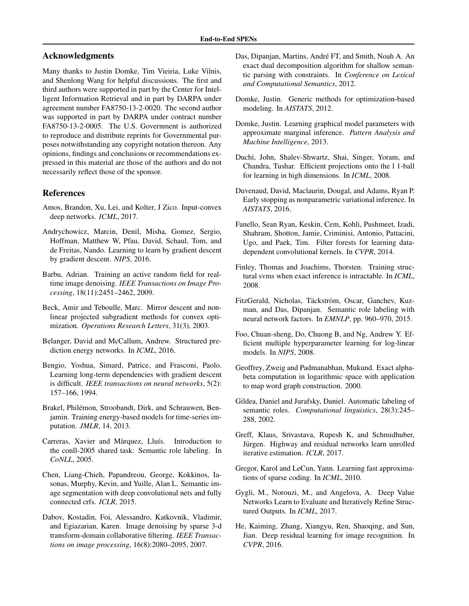# <span id="page-8-0"></span>Acknowledgments

Many thanks to Justin Domke, Tim Vieiria, Luke Vilnis, and Shenlong Wang for helpful discussions. The first and third authors were supported in part by the Center for Intelligent Information Retrieval and in part by DARPA under agreement number FA8750-13-2-0020. The second author was supported in part by DARPA under contract number FA8750-13-2-0005. The U.S. Government is authorized to reproduce and distribute reprints for Governmental purposes notwithstanding any copyright notation thereon. Any opinions, findings and conclusions or recommendations expressed in this material are those of the authors and do not necessarily reflect those of the sponsor.

# References

- Amos, Brandon, Xu, Lei, and Kolter, J Zico. Input-convex deep networks. *ICML*, 2017.
- Andrychowicz, Marcin, Denil, Misha, Gomez, Sergio, Hoffman, Matthew W, Pfau, David, Schaul, Tom, and de Freitas, Nando. Learning to learn by gradient descent by gradient descent. *NIPS*, 2016.
- Barbu, Adrian. Training an active random field for realtime image denoising. *IEEE Transactions on Image Processing*, 18(11):2451–2462, 2009.
- Beck, Amir and Teboulle, Marc. Mirror descent and nonlinear projected subgradient methods for convex optimization. *Operations Research Letters*, 31(3), 2003.
- Belanger, David and McCallum, Andrew. Structured prediction energy networks. In *ICML*, 2016.
- Bengio, Yoshua, Simard, Patrice, and Frasconi, Paolo. Learning long-term dependencies with gradient descent is difficult. *IEEE transactions on neural networks*, 5(2): 157–166, 1994.
- Brakel, Philémon, Stroobandt, Dirk, and Schrauwen, Benjamin. Training energy-based models for time-series imputation. *JMLR*, 14, 2013.
- Carreras, Xavier and Màrquez, Lluís. Introduction to the conll-2005 shared task: Semantic role labeling. In *CoNLL*, 2005.
- Chen, Liang-Chieh, Papandreou, George, Kokkinos, Iasonas, Murphy, Kevin, and Yuille, Alan L. Semantic image segmentation with deep convolutional nets and fully connected crfs. *ICLR*, 2015.
- Dabov, Kostadin, Foi, Alessandro, Katkovnik, Vladimir, and Egiazarian, Karen. Image denoising by sparse 3-d transform-domain collaborative filtering. *IEEE Transactions on image processing*, 16(8):2080–2095, 2007.
- Das, Dipanjan, Martins, André FT, and Smith, Noah A. An exact dual decomposition algorithm for shallow semantic parsing with constraints. In *Conference on Lexical and Computational Semantics*, 2012.
- Domke, Justin. Generic methods for optimization-based modeling. In *AISTATS*, 2012.
- Domke, Justin. Learning graphical model parameters with approximate marginal inference. *Pattern Analysis and Machine Intelligence*, 2013.
- Duchi, John, Shalev-Shwartz, Shai, Singer, Yoram, and Chandra, Tushar. Efficient projections onto the l 1-ball for learning in high dimensions. In *ICML*, 2008.
- Duvenaud, David, Maclaurin, Dougal, and Adams, Ryan P. Early stopping as nonparametric variational inference. In *AISTATS*, 2016.
- Fanello, Sean Ryan, Keskin, Cem, Kohli, Pushmeet, Izadi, Shahram, Shotton, Jamie, Criminisi, Antonio, Pattacini, Ugo, and Paek, Tim. Filter forests for learning datadependent convolutional kernels. In *CVPR*, 2014.
- Finley, Thomas and Joachims, Thorsten. Training structural svms when exact inference is intractable. In *ICML*, 2008.
- FitzGerald, Nicholas, Täckström, Oscar, Ganchev, Kuzman, and Das, Dipanjan. Semantic role labeling with neural network factors. In *EMNLP*, pp. 960–970, 2015.
- Foo, Chuan-sheng, Do, Chuong B, and Ng, Andrew Y. Efficient multiple hyperparameter learning for log-linear models. In *NIPS*, 2008.
- Geoffrey, Zweig and Padmanabhan, Mukund. Exact alphabeta computation in logarithmic space with application to map word graph construction. 2000.
- Gildea, Daniel and Jurafsky, Daniel. Automatic labeling of semantic roles. *Computational linguistics*, 28(3):245– 288, 2002.
- Greff, Klaus, Srivastava, Rupesh K, and Schmidhuber, Jürgen. Highway and residual networks learn unrolled iterative estimation. *ICLR*, 2017.
- Gregor, Karol and LeCun, Yann. Learning fast approximations of sparse coding. In *ICML*, 2010.
- Gygli, M., Norouzi, M., and Angelova, A. Deep Value Networks Learn to Evaluate and Iteratively Refine Structured Outputs. In *ICML*, 2017.
- He, Kaiming, Zhang, Xiangyu, Ren, Shaoqing, and Sun, Jian. Deep residual learning for image recognition. In *CVPR*, 2016.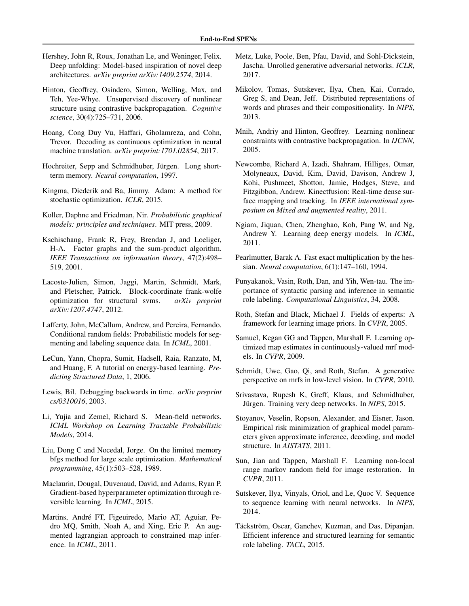- <span id="page-9-0"></span>Hershey, John R, Roux, Jonathan Le, and Weninger, Felix. Deep unfolding: Model-based inspiration of novel deep architectures. *arXiv preprint arXiv:1409.2574*, 2014.
- Hinton, Geoffrey, Osindero, Simon, Welling, Max, and Teh, Yee-Whye. Unsupervised discovery of nonlinear structure using contrastive backpropagation. *Cognitive science*, 30(4):725–731, 2006.
- Hoang, Cong Duy Vu, Haffari, Gholamreza, and Cohn, Trevor. Decoding as continuous optimization in neural machine translation. *arXiv preprint:1701.02854*, 2017.
- Hochreiter, Sepp and Schmidhuber, Jürgen. Long shortterm memory. *Neural computation*, 1997.
- Kingma, Diederik and Ba, Jimmy. Adam: A method for stochastic optimization. *ICLR*, 2015.
- Koller, Daphne and Friedman, Nir. *Probabilistic graphical models: principles and techniques*. MIT press, 2009.
- Kschischang, Frank R, Frey, Brendan J, and Loeliger, H-A. Factor graphs and the sum-product algorithm. *IEEE Transactions on information theory*, 47(2):498– 519, 2001.
- Lacoste-Julien, Simon, Jaggi, Martin, Schmidt, Mark, and Pletscher, Patrick. Block-coordinate frank-wolfe optimization for structural svms. *arXiv preprint arXiv:1207.4747*, 2012.
- Lafferty, John, McCallum, Andrew, and Pereira, Fernando. Conditional random fields: Probabilistic models for segmenting and labeling sequence data. In *ICML*, 2001.
- LeCun, Yann, Chopra, Sumit, Hadsell, Raia, Ranzato, M, and Huang, F. A tutorial on energy-based learning. *Predicting Structured Data*, 1, 2006.
- Lewis, Bil. Debugging backwards in time. *arXiv preprint cs/0310016*, 2003.
- Li, Yujia and Zemel, Richard S. Mean-field networks. *ICML Workshop on Learning Tractable Probabilistic Models*, 2014.
- Liu, Dong C and Nocedal, Jorge. On the limited memory bfgs method for large scale optimization. *Mathematical programming*, 45(1):503–528, 1989.
- Maclaurin, Dougal, Duvenaud, David, and Adams, Ryan P. Gradient-based hyperparameter optimization through reversible learning. In *ICML*, 2015.
- Martins, André FT, Figeuiredo, Mario AT, Aguiar, Pedro MQ, Smith, Noah A, and Xing, Eric P. An augmented lagrangian approach to constrained map inference. In *ICML*, 2011.
- Metz, Luke, Poole, Ben, Pfau, David, and Sohl-Dickstein, Jascha. Unrolled generative adversarial networks. *ICLR*, 2017.
- Mikolov, Tomas, Sutskever, Ilya, Chen, Kai, Corrado, Greg S, and Dean, Jeff. Distributed representations of words and phrases and their compositionality. In *NIPS*, 2013.
- Mnih, Andriy and Hinton, Geoffrey. Learning nonlinear constraints with contrastive backpropagation. In *IJCNN*, 2005.
- Newcombe, Richard A, Izadi, Shahram, Hilliges, Otmar, Molyneaux, David, Kim, David, Davison, Andrew J, Kohi, Pushmeet, Shotton, Jamie, Hodges, Steve, and Fitzgibbon, Andrew. Kinectfusion: Real-time dense surface mapping and tracking. In *IEEE international symposium on Mixed and augmented reality*, 2011.
- Ngiam, Jiquan, Chen, Zhenghao, Koh, Pang W, and Ng, Andrew Y. Learning deep energy models. In *ICML*, 2011.
- Pearlmutter, Barak A. Fast exact multiplication by the hessian. *Neural computation*, 6(1):147–160, 1994.
- Punyakanok, Vasin, Roth, Dan, and Yih, Wen-tau. The importance of syntactic parsing and inference in semantic role labeling. *Computational Linguistics*, 34, 2008.
- Roth, Stefan and Black, Michael J. Fields of experts: A framework for learning image priors. In *CVPR*, 2005.
- Samuel, Kegan GG and Tappen, Marshall F. Learning optimized map estimates in continuously-valued mrf models. In *CVPR*, 2009.
- Schmidt, Uwe, Gao, Qi, and Roth, Stefan. A generative perspective on mrfs in low-level vision. In *CVPR*, 2010.
- Srivastava, Rupesh K, Greff, Klaus, and Schmidhuber, Jürgen. Training very deep networks. In *NIPS*, 2015.
- Stoyanov, Veselin, Ropson, Alexander, and Eisner, Jason. Empirical risk minimization of graphical model parameters given approximate inference, decoding, and model structure. In *AISTATS*, 2011.
- Sun, Jian and Tappen, Marshall F. Learning non-local range markov random field for image restoration. In *CVPR*, 2011.
- Sutskever, Ilya, Vinyals, Oriol, and Le, Quoc V. Sequence to sequence learning with neural networks. In *NIPS*, 2014.
- Täckström, Oscar, Ganchev, Kuzman, and Das, Dipanjan. Efficient inference and structured learning for semantic role labeling. *TACL*, 2015.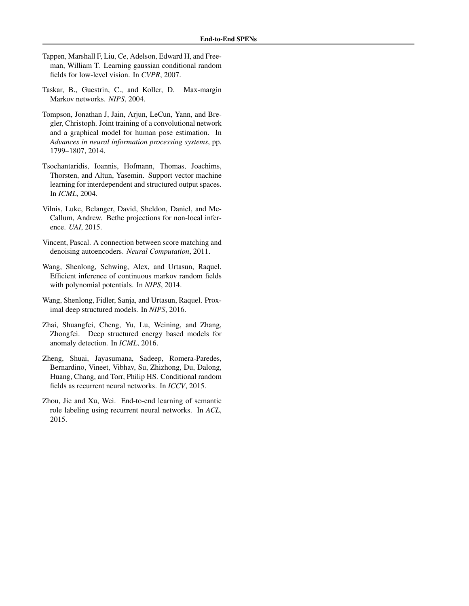- <span id="page-10-0"></span>Tappen, Marshall F, Liu, Ce, Adelson, Edward H, and Freeman, William T. Learning gaussian conditional random fields for low-level vision. In *CVPR*, 2007.
- Taskar, B., Guestrin, C., and Koller, D. Max-margin Markov networks. *NIPS*, 2004.
- Tompson, Jonathan J, Jain, Arjun, LeCun, Yann, and Bregler, Christoph. Joint training of a convolutional network and a graphical model for human pose estimation. In *Advances in neural information processing systems*, pp. 1799–1807, 2014.
- Tsochantaridis, Ioannis, Hofmann, Thomas, Joachims, Thorsten, and Altun, Yasemin. Support vector machine learning for interdependent and structured output spaces. In *ICML*, 2004.
- Vilnis, Luke, Belanger, David, Sheldon, Daniel, and Mc-Callum, Andrew. Bethe projections for non-local inference. *UAI*, 2015.
- Vincent, Pascal. A connection between score matching and denoising autoencoders. *Neural Computation*, 2011.
- Wang, Shenlong, Schwing, Alex, and Urtasun, Raquel. Efficient inference of continuous markov random fields with polynomial potentials. In *NIPS*, 2014.
- Wang, Shenlong, Fidler, Sanja, and Urtasun, Raquel. Proximal deep structured models. In *NIPS*, 2016.
- Zhai, Shuangfei, Cheng, Yu, Lu, Weining, and Zhang, Zhongfei. Deep structured energy based models for anomaly detection. In *ICML*, 2016.
- Zheng, Shuai, Jayasumana, Sadeep, Romera-Paredes, Bernardino, Vineet, Vibhav, Su, Zhizhong, Du, Dalong, Huang, Chang, and Torr, Philip HS. Conditional random fields as recurrent neural networks. In *ICCV*, 2015.
- Zhou, Jie and Xu, Wei. End-to-end learning of semantic role labeling using recurrent neural networks. In *ACL*, 2015.